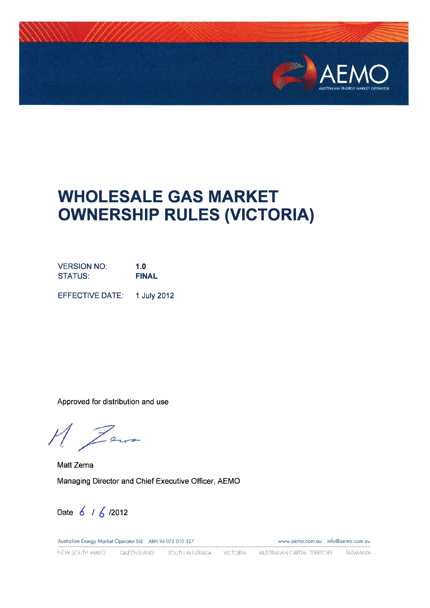

# **WHOLESALE GAS MARKET OWNERSHIP RULES (VICTORIA)**

**VERSION NO:**  $1.0$ **FINAL STATUS:** 

EFFECTIVE DATE: 1 July 2012

Approved for distribution and use

M Zem

Matt Zema Managing Director and Chief Executive Officer, AEMO

Date 6 / 6 / 2012

Australian Energy Market Operator Ltd ABN 94 072 010 327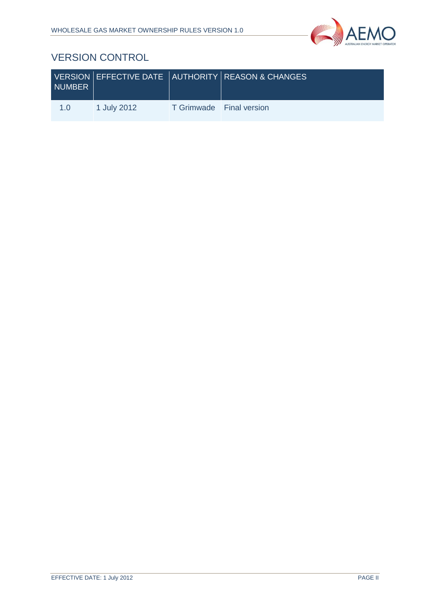

# VERSION CONTROL

| NUMBER |             |                          | VERSION EFFECTIVE DATE AUTHORITY REASON & CHANGES |
|--------|-------------|--------------------------|---------------------------------------------------|
| 1.0    | 1 July 2012 | T Grimwade Final version |                                                   |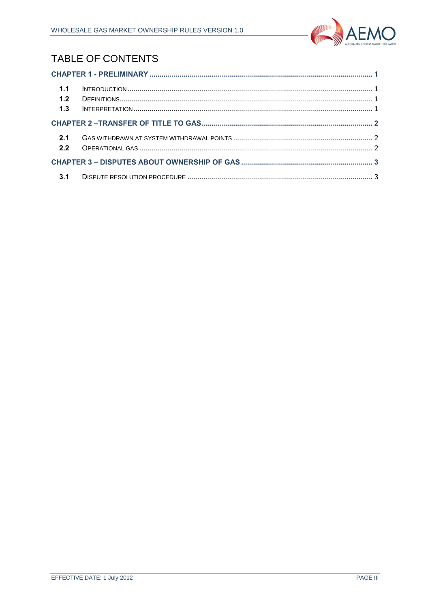

# **TABLE OF CONTENTS**

| 1.1<br>1.2 |  |  |  |  |
|------------|--|--|--|--|
| 1.3        |  |  |  |  |
|            |  |  |  |  |
| 2.1<br>2.2 |  |  |  |  |
|            |  |  |  |  |
|            |  |  |  |  |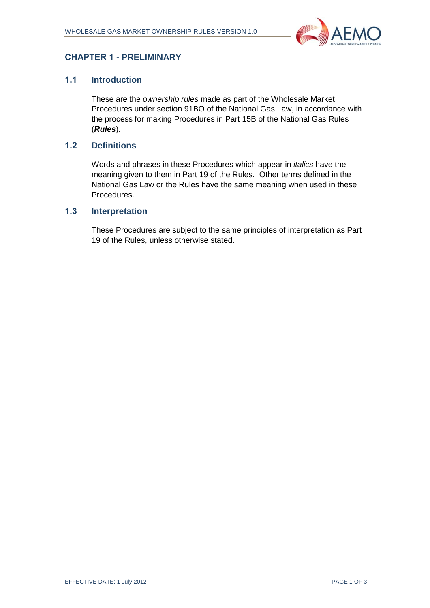

## <span id="page-3-0"></span>**CHAPTER 1 - PRELIMINARY**

#### <span id="page-3-1"></span>**1.1 Introduction**

These are the *ownership rules* made as part of the Wholesale Market Procedures under section 91BO of the National Gas Law, in accordance with the process for making Procedures in Part 15B of the National Gas Rules (*Rules*).

#### <span id="page-3-2"></span>**1.2 Definitions**

Words and phrases in these Procedures which appear in *italics* have the meaning given to them in Part 19 of the Rules. Other terms defined in the National Gas Law or the Rules have the same meaning when used in these Procedures.

#### <span id="page-3-3"></span>**1.3 Interpretation**

These Procedures are subject to the same principles of interpretation as Part 19 of the Rules, unless otherwise stated.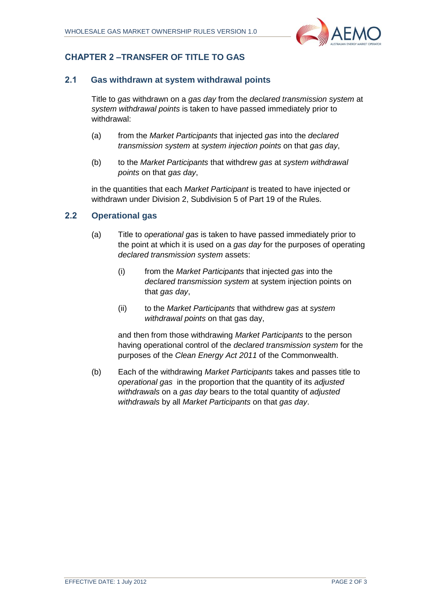

## <span id="page-4-0"></span>**CHAPTER 2 –TRANSFER OF TITLE TO GAS**

#### <span id="page-4-1"></span>**2.1 Gas withdrawn at system withdrawal points**

Title to *gas* withdrawn on a *gas day* from the *declared transmission system* at *system withdrawal points* is taken to have passed immediately prior to withdrawal:

- (a) from the *Market Participants* that injected *gas* into the *declared transmission system* at *system injection points* on that *gas day*,
- (b) to the *Market Participants* that withdrew *gas* at *system withdrawal points* on that *gas day*,

in the quantities that each *Market Participant* is treated to have injected or withdrawn under Division 2, Subdivision 5 of Part 19 of the Rules.

#### <span id="page-4-2"></span>**2.2 Operational gas**

- (a) Title to *operational gas* is taken to have passed immediately prior to the point at which it is used on a *gas day* for the purposes of operating *declared transmission system* assets:
	- (i) from the *Market Participants* that injected *gas* into the *declared transmission system* at system injection points on that *gas day*,
	- (ii) to the *Market Participants* that withdrew *gas* at *system withdrawal points* on that gas day,

and then from those withdrawing *Market Participants* to the person having operational control of the *declared transmission system* for the purposes of the *Clean Energy Act 2011* of the Commonwealth.

(b) Each of the withdrawing *Market Participants* takes and passes title to *operational gas* in the proportion that the quantity of its *adjusted withdrawals* on a *gas day* bears to the total quantity of *adjusted withdrawals* by all *Market Participants* on that *gas day*.